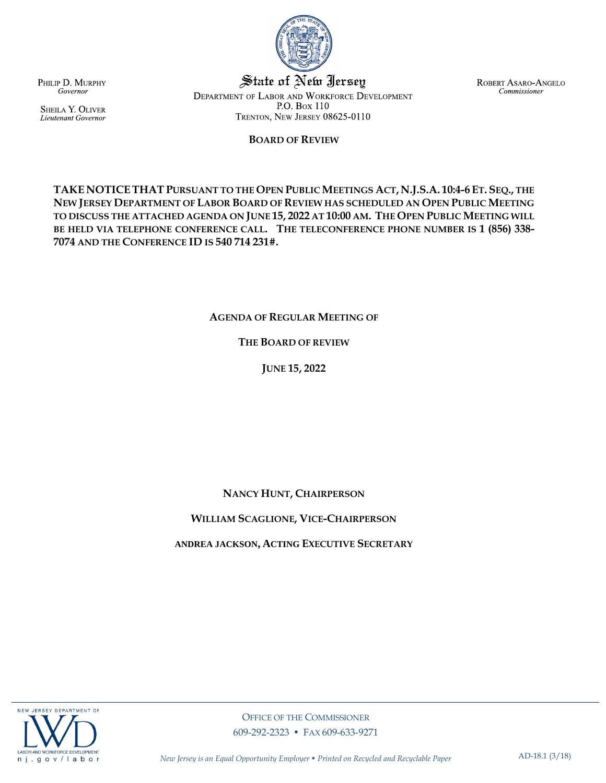

*New Jersey is an Equal Opportunity Employer • Printed on Recycled and Recyclable Paper* AD-18.1 (3/18)

PHILIP D. MURPHY Governor

SHEILA Y. OLIVER Lieutenant Governor

State of New Jersey DEPARTMENT OF LABOR AND WORKFORCE DEVELOPMENT P.O. Box 110 TRENTON, NEW JERSEY 08625-0110

## **BOARD OF REVIEW**

TAKE NOTICE THAT PURSUANT TO THE OPEN PUBLIC MEETINGS ACT, N.J.S.A. 10:4-6 ET. SEQ., THE **NEW JERSEY DEPARTMENT OF LABOR BOARD OF REVIEW HAS SCHEDULED AN OPEN PUBLIC MEETING TO DISCUSS THE ATTACHED AGENDA ON JUNE 15, 2022 AT 10:00 AM. THE OPEN PUBLIC MEETING WILL BE HELD VIA TELEPHONE CONFERENCE CALL. THE TELECONFERENCE PHONE NUMBER IS 1 (856) 338- 7074 AND THE CONFERENCE ID IS 540 714 231#.**

**AGENDA OF REGULAR MEETING OF**

## **THE BOARD OF REVIEW**

**JUNE 15, 2022**

**NANCY HUNT, CHAIRPERSON**

**WILLIAM SCAGLIONE, VICE-CHAIRPERSON**

**ANDREA JACKSON, ACTING EXECUTIVE SECRETARY**





ROBERT ASARO-ANGELO Commissioner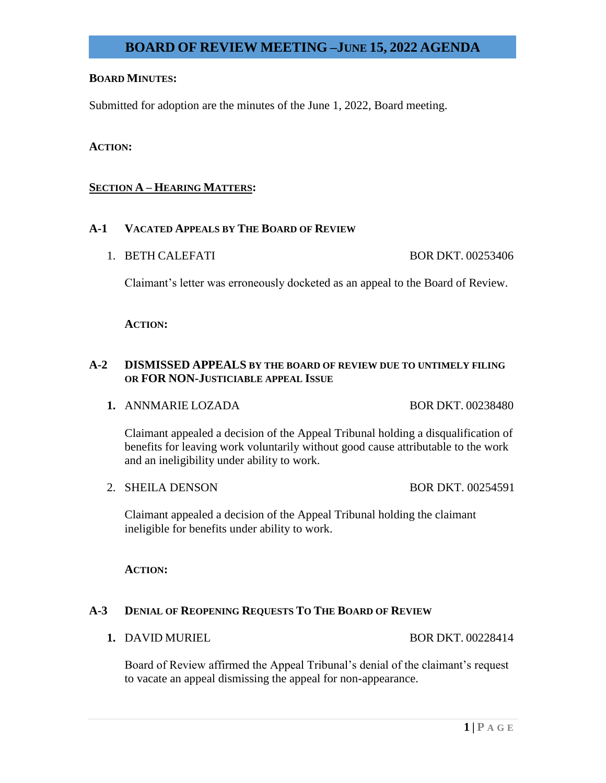## **BOARD MINUTES:**

Submitted for adoption are the minutes of the June 1, 2022, Board meeting.

## **ACTION:**

## **SECTION A – HEARING MATTERS:**

## **A-1 VACATED APPEALS BY THE BOARD OF REVIEW**

1. BETH CALEFATI BOR DKT. 00253406

Claimant's letter was erroneously docketed as an appeal to the Board of Review.

### **ACTION:**

## **A-2 DISMISSED APPEALS BY THE BOARD OF REVIEW DUE TO UNTIMELY FILING OR FOR NON-JUSTICIABLE APPEAL ISSUE**

**1.** ANNMARIE LOZADA BOR DKT. 00238480

Claimant appealed a decision of the Appeal Tribunal holding a disqualification of benefits for leaving work voluntarily without good cause attributable to the work and an ineligibility under ability to work.

2. SHEILA DENSON BOR DKT. 00254591

Claimant appealed a decision of the Appeal Tribunal holding the claimant ineligible for benefits under ability to work.

## **ACTION:**

## **A-3 DENIAL OF REOPENING REQUESTS TO THE BOARD OF REVIEW**

**1.** DAVID MURIEL BOR DKT. 00228414

Board of Review affirmed the Appeal Tribunal's denial of the claimant's request to vacate an appeal dismissing the appeal for non-appearance.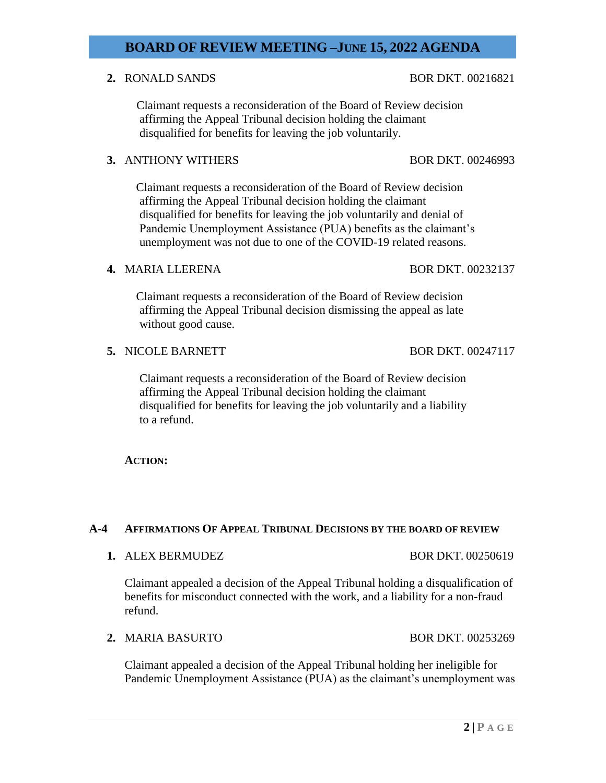## **2.** RONALD SANDS BOR DKT. 00216821

 Claimant requests a reconsideration of the Board of Review decision affirming the Appeal Tribunal decision holding the claimant disqualified for benefits for leaving the job voluntarily.

## **3. ANTHONY WITHERS BOR DKT. 00246993**

 Claimant requests a reconsideration of the Board of Review decision affirming the Appeal Tribunal decision holding the claimant disqualified for benefits for leaving the job voluntarily and denial of Pandemic Unemployment Assistance (PUA) benefits as the claimant's unemployment was not due to one of the COVID-19 related reasons.

### **4. MARIA LLERENA** BOR DKT. 00232137

 Claimant requests a reconsideration of the Board of Review decision affirming the Appeal Tribunal decision dismissing the appeal as late without good cause.

**5.** NICOLE BARNETT BOR DKT. 00247117

 Claimant requests a reconsideration of the Board of Review decision affirming the Appeal Tribunal decision holding the claimant disqualified for benefits for leaving the job voluntarily and a liability to a refund.

**ACTION:**

## **A-4 AFFIRMATIONS OF APPEAL TRIBUNAL DECISIONS BY THE BOARD OF REVIEW**

**1.** ALEX BERMUDEZ BOR DKT. 00250619

Claimant appealed a decision of the Appeal Tribunal holding a disqualification of benefits for misconduct connected with the work, and a liability for a non-fraud refund.

**2.** MARIA BASURTO BOR DKT. 00253269

Claimant appealed a decision of the Appeal Tribunal holding her ineligible for Pandemic Unemployment Assistance (PUA) as the claimant's unemployment was

## **2 | P A G E**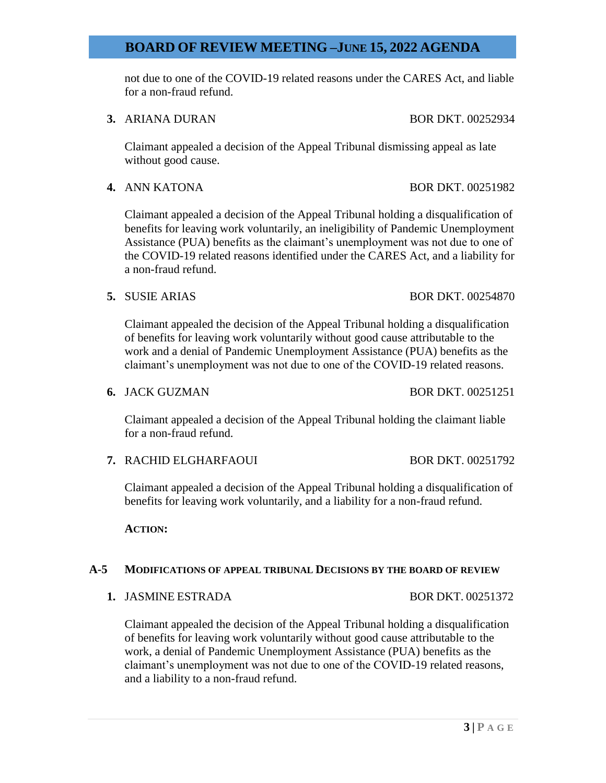not due to one of the COVID-19 related reasons under the CARES Act, and liable for a non-fraud refund.

**3.** ARIANA DURAN BOR DKT. 00252934

Claimant appealed a decision of the Appeal Tribunal dismissing appeal as late without good cause.

**4.** ANN KATONA BOR DKT. 00251982

Claimant appealed a decision of the Appeal Tribunal holding a disqualification of benefits for leaving work voluntarily, an ineligibility of Pandemic Unemployment Assistance (PUA) benefits as the claimant's unemployment was not due to one of the COVID-19 related reasons identified under the CARES Act, and a liability for a non-fraud refund.

**5.** SUSIE ARIAS BOR DKT. 00254870

Claimant appealed the decision of the Appeal Tribunal holding a disqualification of benefits for leaving work voluntarily without good cause attributable to the work and a denial of Pandemic Unemployment Assistance (PUA) benefits as the claimant's unemployment was not due to one of the COVID-19 related reasons.

**6.** JACK GUZMAN BOR DKT. 00251251

Claimant appealed a decision of the Appeal Tribunal holding the claimant liable for a non-fraud refund.

**7.** RACHID ELGHARFAOUI BOR DKT. 00251792

Claimant appealed a decision of the Appeal Tribunal holding a disqualification of benefits for leaving work voluntarily, and a liability for a non-fraud refund.

**ACTION:**

### **A-5 MODIFICATIONS OF APPEAL TRIBUNAL DECISIONS BY THE BOARD OF REVIEW**

**1.** JASMINE ESTRADA BOR DKT. 00251372

Claimant appealed the decision of the Appeal Tribunal holding a disqualification of benefits for leaving work voluntarily without good cause attributable to the work, a denial of Pandemic Unemployment Assistance (PUA) benefits as the claimant's unemployment was not due to one of the COVID-19 related reasons, and a liability to a non-fraud refund.

**3 | P A G E**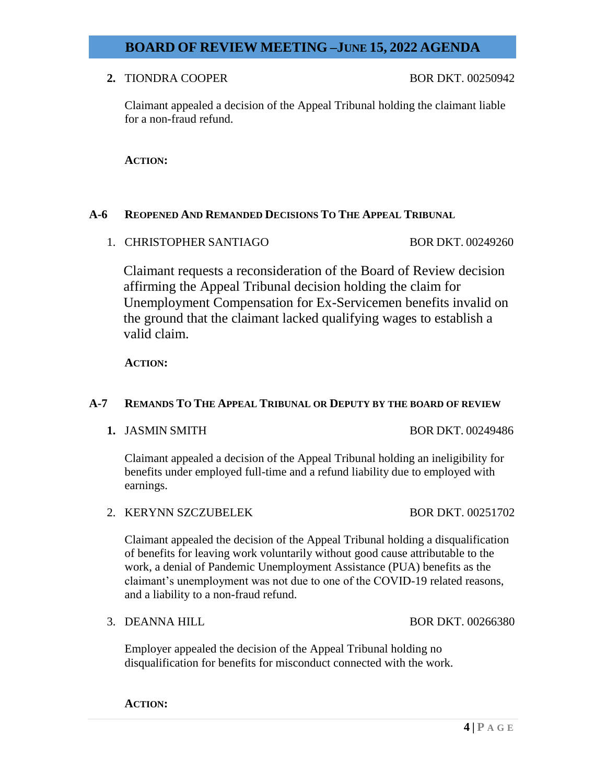**2.** TIONDRA COOPER BOR DKT. 00250942

Claimant appealed a decision of the Appeal Tribunal holding the claimant liable for a non-fraud refund.

**ACTION:**

## **A-6 REOPENED AND REMANDED DECISIONS TO THE APPEAL TRIBUNAL**

1. CHRISTOPHER SANTIAGO BOR DKT. 00249260

 Claimant requests a reconsideration of the Board of Review decision affirming the Appeal Tribunal decision holding the claim for Unemployment Compensation for Ex-Servicemen benefits invalid on the ground that the claimant lacked qualifying wages to establish a valid claim.

**ACTION:**

## **A-7 REMANDS TO THE APPEAL TRIBUNAL OR DEPUTY BY THE BOARD OF REVIEW**

**1.** JASMIN SMITH BOR DKT. 00249486

Claimant appealed a decision of the Appeal Tribunal holding an ineligibility for benefits under employed full-time and a refund liability due to employed with earnings.

2. KERYNN SZCZUBELEK BOR DKT. 00251702

and a liability to a non-fraud refund.

Claimant appealed the decision of the Appeal Tribunal holding a disqualification of benefits for leaving work voluntarily without good cause attributable to the work, a denial of Pandemic Unemployment Assistance (PUA) benefits as the claimant's unemployment was not due to one of the COVID-19 related reasons,

Employer appealed the decision of the Appeal Tribunal holding no disqualification for benefits for misconduct connected with the work.

**ACTION:**

3. DEANNA HILL BOR DKT. 00266380